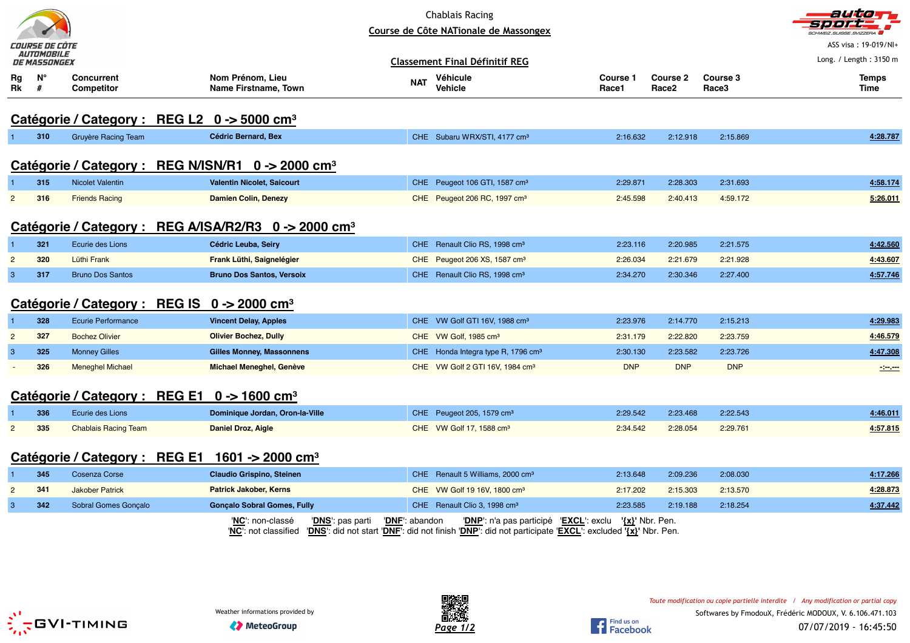|                | COURSE DE CÔTE                           |                                                                    |                                                                       |                | <b>Chablais Racing</b><br>Course de Côte NATionale de Massongex                                                                                  |                          |                                      |                   | autior<br><b>CHWEIZ SUISSE SVIZZERA</b><br>ASS visa: 19-019/NI+ |
|----------------|------------------------------------------|--------------------------------------------------------------------|-----------------------------------------------------------------------|----------------|--------------------------------------------------------------------------------------------------------------------------------------------------|--------------------------|--------------------------------------|-------------------|-----------------------------------------------------------------|
|                | <i>AUTOMOBILE</i><br><i>DE MASSONGEX</i> |                                                                    |                                                                       |                | <b>Classement Final Définitif REG</b>                                                                                                            |                          |                                      |                   | Long. / Length: 3150 m                                          |
| Rg<br>Rk       | $N^{\circ}$<br>#                         | <b>Concurrent</b><br><b>Competitor</b>                             | Nom Prénom, Lieu<br>Name Firstname, Town                              | <b>NAT</b>     | Véhicule<br><b>Vehicle</b>                                                                                                                       | <b>Course 1</b><br>Race1 | <b>Course 2</b><br>Race <sub>2</sub> | Course 3<br>Race3 | <b>Temps</b><br>Time                                            |
|                |                                          | Catégorie / Category : REG L2 0 -> 5000 cm <sup>3</sup>            |                                                                       |                |                                                                                                                                                  |                          |                                      |                   |                                                                 |
| $\mathbf{1}$   | 310                                      | <b>Gruyère Racing Team</b>                                         | <b>Cédric Bernard, Bex</b>                                            |                | CHE Subaru WRX/STI, 4177 cm <sup>3</sup>                                                                                                         | 2:16.632                 | 2:12.918                             | 2:15.869          | 4:28.787                                                        |
|                |                                          |                                                                    | Catégorie / Category : REG N/ISN/R1 0 -> 2000 cm <sup>3</sup>         |                |                                                                                                                                                  |                          |                                      |                   |                                                                 |
|                | 315                                      | <b>Nicolet Valentin</b>                                            | <b>Valentin Nicolet, Saicourt</b>                                     |                | CHE Peugeot 106 GTI, 1587 cm <sup>3</sup>                                                                                                        | 2:29.871                 | 2:28.303                             | 2:31.693          | 4:58.174                                                        |
| $\overline{2}$ | 316                                      | <b>Friends Racing</b>                                              | <b>Damien Colin, Denezy</b>                                           |                | CHE Peugeot 206 RC, 1997 cm <sup>3</sup>                                                                                                         | 2:45.598                 | 2:40.413                             | 4:59.172          | 5:26.011                                                        |
|                |                                          |                                                                    | Catégorie / Category : REG A/ISA/R2/R3 0 -> 2000 cm <sup>3</sup>      |                |                                                                                                                                                  |                          |                                      |                   |                                                                 |
| -1             | 321                                      | Ecurie des Lions                                                   | Cédric Leuba, Seiry                                                   |                | CHE Renault Clio RS, 1998 cm <sup>3</sup>                                                                                                        | 2:23.116                 | 2:20.985                             | 2:21.575          | 4:42.560                                                        |
| $\overline{2}$ | 320                                      | Lüthi Frank                                                        | Frank Lüthi, Saignelégier                                             |                | CHE Peugeot 206 XS, 1587 cm <sup>3</sup>                                                                                                         | 2:26.034                 | 2:21.679                             | 2:21.928          | 4:43.607                                                        |
| $\mathbf{3}$   | 317                                      | <b>Bruno Dos Santos</b>                                            | <b>Bruno Dos Santos, Versoix</b>                                      |                | CHE Renault Clio RS, 1998 cm <sup>3</sup>                                                                                                        | 2:34.270                 | 2:30.346                             | 2:27.400          | 4:57.746                                                        |
|                |                                          | Catégorie / Category : REG IS $0 \rightarrow 2000$ cm <sup>3</sup> |                                                                       |                |                                                                                                                                                  |                          |                                      |                   |                                                                 |
| $\overline{1}$ | 328                                      | <b>Ecurie Performance</b>                                          | <b>Vincent Delay, Apples</b>                                          |                | CHE VW Golf GTI 16V, 1988 cm <sup>3</sup>                                                                                                        | 2:23.976                 | 2:14.770                             | 2:15.213          | 4:29.983                                                        |
| $\overline{2}$ | 327                                      | <b>Bochez Olivier</b>                                              | <b>Olivier Bochez, Dully</b>                                          |                | CHE VW Golf, 1985 cm <sup>3</sup>                                                                                                                | 2:31.179                 | 2:22.820                             | 2:23.759          | 4:46.579                                                        |
| $\mathbf{3}$   | 325                                      | <b>Monney Gilles</b>                                               | <b>Gilles Monney, Massonnens</b>                                      |                | CHE Honda Integra type R, 1796 cm <sup>3</sup>                                                                                                   | 2:30.130                 | 2:23.582                             | 2:23.726          | 4:47.308                                                        |
|                | 326                                      | <b>Meneghel Michael</b>                                            | <b>Michael Meneghel, Genève</b>                                       |                | CHE VW Golf 2 GTI 16V, 1984 cm <sup>3</sup>                                                                                                      | <b>DNP</b>               | <b>DNP</b>                           | <b>DNP</b>        | $\sim$ $\sim$                                                   |
|                |                                          | Catégorie / Category : REG E1 0 -> 1600 cm <sup>3</sup>            |                                                                       |                |                                                                                                                                                  |                          |                                      |                   |                                                                 |
|                | 336                                      | Ecurie des Lions                                                   | Dominique Jordan, Oron-la-Ville                                       |                | CHE Peugeot 205, 1579 cm <sup>3</sup>                                                                                                            | 2:29.542                 | 2:23.468                             | 2:22.543          | 4:46.011                                                        |
| $\overline{c}$ | 335                                      | <b>Chablais Racing Team</b>                                        | <b>Daniel Droz, Aigle</b>                                             |                | CHE VW Golf 17, 1588 cm <sup>3</sup>                                                                                                             | 2:34.542                 | 2:28.054                             | 2:29.761          | 4:57.815                                                        |
|                |                                          | Catégorie / Category : REG E1 1601 -> 2000 cm <sup>3</sup>         |                                                                       |                |                                                                                                                                                  |                          |                                      |                   |                                                                 |
|                | 345                                      | Cosenza Corse                                                      | <b>Claudio Grispino, Steinen</b>                                      |                | CHE Renault 5 Williams, 2000 cm <sup>3</sup>                                                                                                     | 2:13.648                 | 2:09.236                             | 2:08.030          | 4:17.266                                                        |
| $\overline{2}$ | 341                                      | <b>Jakober Patrick</b>                                             | <b>Patrick Jakober, Kerns</b>                                         |                | CHE VW Golf 19 16V, 1800 cm <sup>3</sup>                                                                                                         | 2:17.202                 | 2:15.303                             | 2:13.570          | 4:28.873                                                        |
| $\mathbf{3}$   | 342                                      | Sobral Gomes Gonçalo                                               | <b>Gonçalo Sobral Gomes, Fully</b>                                    |                | CHE Renault Clio 3, 1998 cm <sup>3</sup>                                                                                                         | 2:23.585                 | 2:19.188                             | 2:18.254          | 4:37.442                                                        |
|                |                                          |                                                                    | 'NC': non-classé<br>' <b>DNS</b> ': pas parti<br>'NC': not classified | 'DNF': abandon | 'DNP': n'a pas participé 'EXCL': exclu<br>'DNS': did not start 'DNF': did not finish 'DNP': did not participate 'EXCL': excluded '{x}' Nbr. Pen. |                          | ' <u>{x}</u> ' Nbr. Pen.             |                   |                                                                 |





Find us on<br>Facebook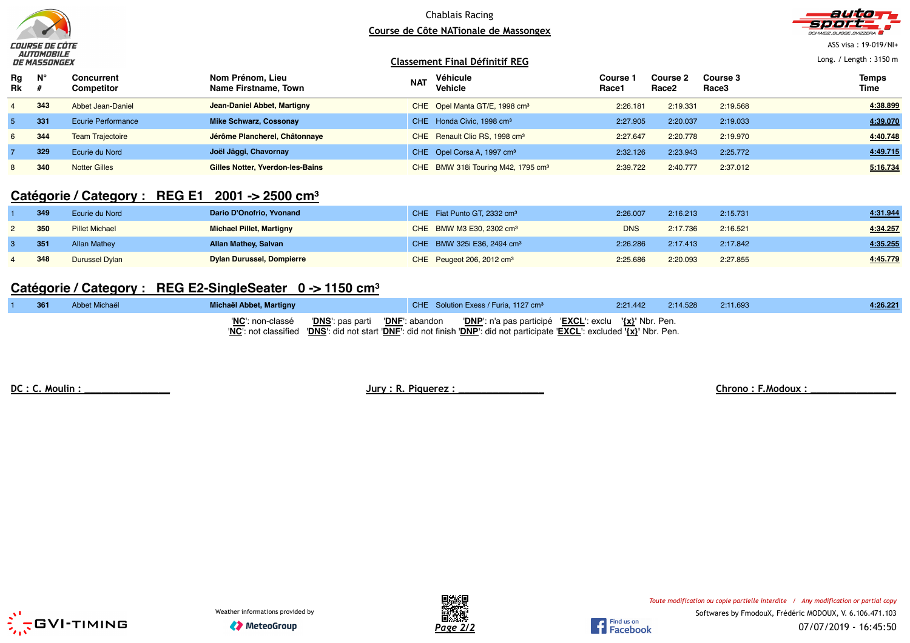

### Chablais Racing **Course de Côte NATionale de Massongex**



ASS visa : 19-019/NI+

Long. / Length : 3150 m

#### **Classement Final Définitif REG**

| Rg<br><b>Rk</b> | $N^{\circ}$ | <b>Concurrent</b><br><b>Competitor</b> | Nom Prénom, Lieu<br>Name Firstname, Town | <b>NAT</b> | Véhicule<br>Vehicle                            | Course<br>Race1 | <b>Course 2</b><br>Race <sub>2</sub> | Course 3<br>Race3 | <b>Temps</b><br>Time |
|-----------------|-------------|----------------------------------------|------------------------------------------|------------|------------------------------------------------|-----------------|--------------------------------------|-------------------|----------------------|
|                 | 343         | Abbet Jean-Daniel                      | Jean-Daniel Abbet, Martigny              |            | CHE Opel Manta GT/E, 1998 cm <sup>3</sup>      | 2:26.181        | 2:19.331                             | 2:19.568          | 4:38.899             |
|                 | 331         | <b>Ecurie Performance</b>              | Mike Schwarz, Cossonay                   |            | CHE Honda Civic, 1998 cm <sup>3</sup>          | 2:27.905        | 2:20.037                             | 2:19.033          | 4:39.070             |
| 6.              | 344         | <b>Team Trajectoire</b>                | Jérôme Plancherel, Châtonnaye            |            | CHE Renault Clio RS, 1998 cm <sup>3</sup>      | 2:27.647        | 2:20.778                             | 2:19.970          | 4:40.748             |
|                 | 329         | Ecurie du Nord                         | Joël Jäggi, Chavornay                    |            | CHE Opel Corsa A, 1997 cm <sup>3</sup>         | 2:32.126        | 2:23.943                             | 2:25.772          | 4:49.715             |
|                 | 340         | <b>Notter Gilles</b>                   | Gilles Notter, Yverdon-les-Bains         |            | CHE BMW 318i Touring M42, 1795 cm <sup>3</sup> | 2:39.722        | 2:40.777                             | 2:37.012          | 5:16.734             |

# **Catégorie / Category : REG E1 2001 -> 2500 cm<sup>³</sup>**

| 349 | Ecurie du Nord        | Dario D'Onofrio, Yvonand         | CHE Fiat Punto GT, 2332 cm <sup>3</sup> | 2:26.007   | 2:16.213 | 2:15.731 | 4:31.944 |
|-----|-----------------------|----------------------------------|-----------------------------------------|------------|----------|----------|----------|
| 350 | <b>Pillet Michael</b> | <b>Michael Pillet, Martigny</b>  | CHE BMW M3 E30, 2302 cm <sup>3</sup>    | <b>DNS</b> | 2:17.736 | 2:16.521 | 4:34.257 |
| 351 | <b>Allan Mathey</b>   | <b>Allan Mathey, Salvan</b>      | CHE BMW 325i E36, 2494 cm <sup>3</sup>  | 2:26.286   | 2:17.413 | 2:17.842 | 4:35.255 |
| 348 | Durussel Dylan        | <b>Dylan Durussel, Dompierre</b> | CHE Peugeot 206, 2012 cm <sup>3</sup>   | 2:25.686   | 2:20.093 | 2:27.855 | 4:45.779 |

## **Catégorie / Category : REG E2-SingleSeater 0 -> 1150 cm<sup>³</sup>**

| 361 | Abbet Michaël | Michaël Abbet, Martigny | CHE Solution Exess / Furia, 1127 cm <sup>3</sup>                                                                                                                                                                                            | 2:21.442 | 2:14.528 | 2:11.693 | 4:26.221 |
|-----|---------------|-------------------------|---------------------------------------------------------------------------------------------------------------------------------------------------------------------------------------------------------------------------------------------|----------|----------|----------|----------|
|     |               |                         | "NC": non-classé  "DNS": pas parti  "DNF": abandon  "DNP": n'a pas participé  "EXCL": exclu  "{x}" Nbr. Pen.<br>"NC": not classified "DNS": did not start "DNF": did not finish "DNP": did not participate "EXCL": excluded '{x}' Nbr. Pen. |          |          |          |          |

**DC : C. Moulin : \_\_\_\_\_\_\_\_\_\_\_\_\_\_\_ Jury : R. Piquerez : \_\_\_\_\_\_\_\_\_\_\_\_\_\_\_ Chrono : F.Modoux : \_\_\_\_\_\_\_\_\_\_\_\_\_\_\_**







Find us on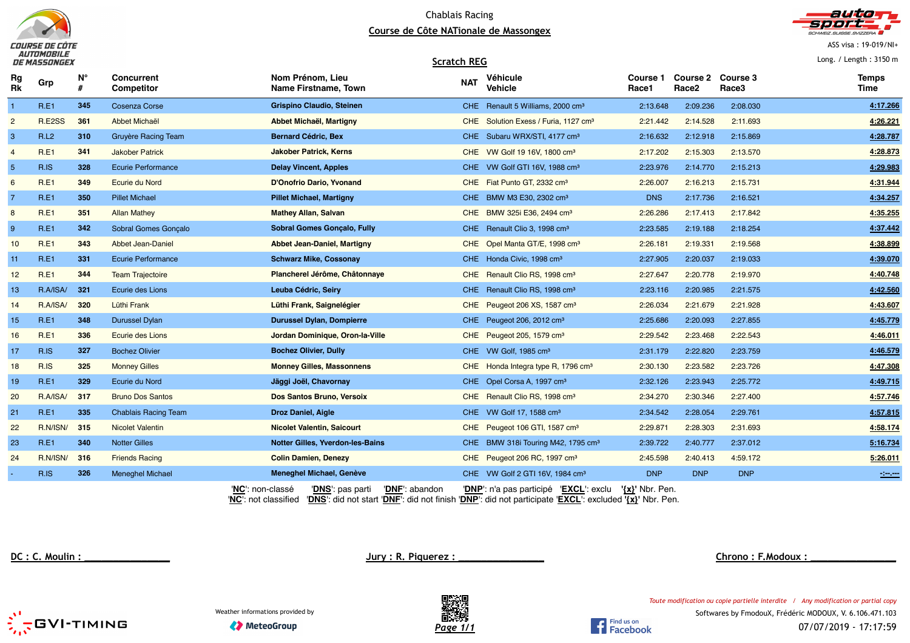

#### Chablais Racing **Course de Côte NATionale de Massongex**



ASS visa : 19-019/NI+

Long. / Length : 3150 m

|                 | <i>DE MASSONGEX</i> |     |                                 | <b>Scratch REG</b>                              |            |                                                                                                                                                                                                                                                                                                                                    |                          |                                        |            | Long. / Length: $3150$ m |
|-----------------|---------------------|-----|---------------------------------|-------------------------------------------------|------------|------------------------------------------------------------------------------------------------------------------------------------------------------------------------------------------------------------------------------------------------------------------------------------------------------------------------------------|--------------------------|----------------------------------------|------------|--------------------------|
| Rg<br>Rk        | Grp                 | N°  | Concurrent<br><b>Competitor</b> | Nom Prénom, Lieu<br><b>Name Firstname, Town</b> | <b>NAT</b> | Véhicule<br>Vehicle                                                                                                                                                                                                                                                                                                                | <b>Course 1</b><br>Race1 | Course 2 Course 3<br>Race <sub>2</sub> | Race3      | <b>Temps</b><br>Time     |
| $\overline{1}$  | R.E1                | 345 | <b>Cosenza Corse</b>            | <b>Grispino Claudio, Steinen</b>                |            | CHE Renault 5 Williams, 2000 cm <sup>3</sup>                                                                                                                                                                                                                                                                                       | 2:13.648                 | 2:09.236                               | 2:08.030   | 4:17.266                 |
| $\overline{2}$  | R.E2SS              | 361 | Abbet Michaël                   | Abbet Michaël, Martigny                         |            | CHE Solution Exess / Furia, 1127 cm <sup>3</sup>                                                                                                                                                                                                                                                                                   | 2:21.442                 | 2:14.528                               | 2:11.693   | 4:26.221                 |
| 3               | R.L2                | 310 | Gruyère Racing Team             | <b>Bernard Cédric, Bex</b>                      |            | CHE Subaru WRX/STI, 4177 cm <sup>3</sup>                                                                                                                                                                                                                                                                                           | 2:16.632                 | 2:12.918                               | 2:15.869   | 4:28.787                 |
| $\overline{4}$  | <b>R.E1</b>         | 341 | <b>Jakober Patrick</b>          | <b>Jakober Patrick, Kerns</b>                   |            | CHE VW Golf 19 16V, 1800 cm <sup>3</sup>                                                                                                                                                                                                                                                                                           | 2:17.202                 | 2:15.303                               | 2:13.570   | 4:28.873                 |
| $\overline{5}$  | R.IS                | 328 | <b>Ecurie Performance</b>       | <b>Delay Vincent, Apples</b>                    |            | CHE VW Golf GTI 16V, 1988 cm <sup>3</sup>                                                                                                                                                                                                                                                                                          | 2:23.976                 | 2:14.770                               | 2:15.213   | 4:29.983                 |
| $6\phantom{1}6$ | R.E1                | 349 | Ecurie du Nord                  | D'Onofrio Dario, Yvonand                        |            | CHE Fiat Punto GT, 2332 cm <sup>3</sup>                                                                                                                                                                                                                                                                                            | 2:26.007                 | 2:16.213                               | 2:15.731   | 4:31.944                 |
| $\overline{7}$  | R.E1                | 350 | <b>Pillet Michael</b>           | <b>Pillet Michael, Martigny</b>                 |            | CHE BMW M3 E30, 2302 cm <sup>3</sup>                                                                                                                                                                                                                                                                                               | <b>DNS</b>               | 2:17.736                               | 2:16.521   | 4:34.257                 |
| 8               | <b>R.E1</b>         | 351 | <b>Allan Mathey</b>             | <b>Mathey Allan, Salvan</b>                     |            | CHE BMW 325i E36, 2494 cm <sup>3</sup>                                                                                                                                                                                                                                                                                             | 2:26.286                 | 2:17.413                               | 2:17.842   | 4:35.255                 |
| $9\,$           | R.E1                | 342 | Sobral Gomes Gonçalo            | <b>Sobral Gomes Gonçalo, Fully</b>              |            | CHE Renault Clio 3, 1998 cm <sup>3</sup>                                                                                                                                                                                                                                                                                           | 2:23.585                 | 2:19.188                               | 2:18.254   | 4:37.442                 |
| 10              | <b>R.E1</b>         | 343 | Abbet Jean-Daniel               | Abbet Jean-Daniel, Martigny                     |            | CHE Opel Manta GT/E, 1998 cm <sup>3</sup>                                                                                                                                                                                                                                                                                          | 2:26.181                 | 2:19.331                               | 2:19.568   | 4:38.899                 |
| 11              | R.E1                | 331 | <b>Ecurie Performance</b>       | <b>Schwarz Mike, Cossonay</b>                   |            | CHE Honda Civic, 1998 cm <sup>3</sup>                                                                                                                                                                                                                                                                                              | 2:27.905                 | 2:20.037                               | 2:19.033   | 4:39.070                 |
| 12 <sub>2</sub> | <b>R.E1</b>         | 344 | <b>Team Trajectoire</b>         | Plancherel Jérôme, Châtonnaye                   |            | CHE Renault Clio RS, 1998 cm <sup>3</sup>                                                                                                                                                                                                                                                                                          | 2:27.647                 | 2:20.778                               | 2:19.970   | 4:40.748                 |
| 13              | R.A/ISA/            | 321 | Ecurie des Lions                | Leuba Cédric, Seiry                             |            | CHE Renault Clio RS, 1998 cm <sup>3</sup>                                                                                                                                                                                                                                                                                          | 2:23.116                 | 2:20.985                               | 2:21.575   | 4:42.560                 |
| 14              | R.A/ISA/            | 320 | Lüthi Frank                     | Lüthi Frank, Saignelégier                       |            | CHE Peugeot 206 XS, 1587 cm <sup>3</sup>                                                                                                                                                                                                                                                                                           | 2:26.034                 | 2:21.679                               | 2:21.928   | 4:43.607                 |
| 15              | R.E1                | 348 | <b>Durussel Dylan</b>           | <b>Durussel Dylan, Dompierre</b>                |            | CHE Peugeot 206, 2012 cm <sup>3</sup>                                                                                                                                                                                                                                                                                              | 2:25.686                 | 2:20.093                               | 2:27.855   | 4:45.779                 |
| 16              | <b>R.E1</b>         | 336 | Ecurie des Lions                | Jordan Dominique, Oron-la-Ville                 |            | CHE Peugeot 205, 1579 cm <sup>3</sup>                                                                                                                                                                                                                                                                                              | 2:29.542                 | 2:23.468                               | 2:22.543   | 4:46.011                 |
| 17              | R.IS                | 327 | <b>Bochez Olivier</b>           | <b>Bochez Olivier, Dully</b>                    |            | CHE VW Golf, 1985 cm <sup>3</sup>                                                                                                                                                                                                                                                                                                  | 2:31.179                 | 2:22.820                               | 2:23.759   | 4:46.579                 |
| 18              | R.IS                | 325 | <b>Monney Gilles</b>            | <b>Monney Gilles, Massonnens</b>                |            | CHE Honda Integra type R, 1796 cm <sup>3</sup>                                                                                                                                                                                                                                                                                     | 2:30.130                 | 2:23.582                               | 2:23.726   | 4:47.308                 |
| 19              | <b>R.E1</b>         | 329 | Ecurie du Nord                  | Jäggi Joël, Chavornay                           |            | CHE Opel Corsa A, 1997 cm <sup>3</sup>                                                                                                                                                                                                                                                                                             | 2:32.126                 | 2:23.943                               | 2:25.772   | 4:49.715                 |
| 20              | R.A/ISA/            | 317 | <b>Bruno Dos Santos</b>         | Dos Santos Bruno, Versoix                       |            | CHE Renault Clio RS, 1998 cm <sup>3</sup>                                                                                                                                                                                                                                                                                          | 2:34.270                 | 2:30.346                               | 2:27.400   | 4:57.746                 |
| 21              | R.E1                | 335 | <b>Chablais Racing Team</b>     | <b>Droz Daniel, Aigle</b>                       |            | CHE VW Golf 17, 1588 cm <sup>3</sup>                                                                                                                                                                                                                                                                                               | 2:34.542                 | 2:28.054                               | 2:29.761   | 4:57.815                 |
| 22              | R.N/ISN/            | 315 | <b>Nicolet Valentin</b>         | <b>Nicolet Valentin, Saicourt</b>               |            | CHE Peugeot 106 GTI, 1587 cm <sup>3</sup>                                                                                                                                                                                                                                                                                          | 2:29.871                 | 2:28.303                               | 2:31.693   | 4:58.174                 |
| 23              | R.E1                | 340 | <b>Notter Gilles</b>            | <b>Notter Gilles, Yverdon-les-Bains</b>         |            | CHE BMW 318i Touring M42, 1795 cm <sup>3</sup>                                                                                                                                                                                                                                                                                     | 2:39.722                 | 2:40.777                               | 2:37.012   | 5:16.734                 |
| 24              | R.N/ISN/            | 316 | <b>Friends Racing</b>           | <b>Colin Damien, Denezy</b>                     |            | CHE Peugeot 206 RC, 1997 cm <sup>3</sup>                                                                                                                                                                                                                                                                                           | 2:45.598                 | 2:40.413                               | 4:59.172   | 5:26.011                 |
|                 | R.IS                | 326 | <b>Meneghel Michael</b>         | Meneghel Michael, Genève                        |            | CHE VW Golf 2 GTI 16V, 1984 cm <sup>3</sup>                                                                                                                                                                                                                                                                                        | <b>DNP</b>               | <b>DNP</b>                             | <b>DNP</b> | $\frac{1}{2}$            |
|                 |                     |     |                                 | $\blacksquare$                                  |            | $\mathbf{r}$ $\mathbf{r}$ $\mathbf{r}$ $\mathbf{r}$ $\mathbf{r}$ $\mathbf{r}$ $\mathbf{r}$ $\mathbf{r}$ $\mathbf{r}$ $\mathbf{r}$ $\mathbf{r}$ $\mathbf{r}$ $\mathbf{r}$ $\mathbf{r}$ $\mathbf{r}$ $\mathbf{r}$ $\mathbf{r}$ $\mathbf{r}$ $\mathbf{r}$ $\mathbf{r}$ $\mathbf{r}$ $\mathbf{r}$ $\mathbf{r}$ $\mathbf{r}$ $\mathbf{$ |                          |                                        |            |                          |

'**NC**': non-classé '**DNS**': pas parti '**DNF**': abandon '**DNP**': n'a pas participé '**EXCL**': exclu **'{x}'** Nbr. Pen. '**NC**': not classified '**DNS**': did not start '**DNF**': did not finish '**DNP**': did not participate '**EXCL**': excluded **'{x}'** Nbr. Pen.

**DC : C. Moulin : \_\_\_\_\_\_\_\_\_\_\_\_\_\_\_ Jury : R. Piquerez : \_\_\_\_\_\_\_\_\_\_\_\_\_\_\_ Chrono : F.Modoux : \_\_\_\_\_\_\_\_\_\_\_\_\_\_\_**

*Toute modification ou copie partielle interdite / Any modification or partial copy*





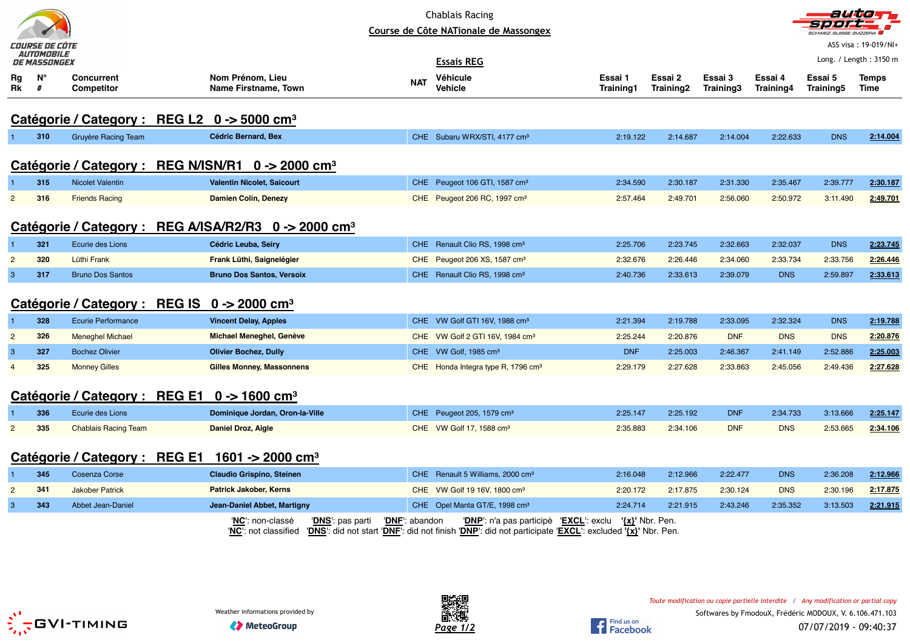| COURSE DE COTE<br><i>AUTOMOBILE</i>                     |                  |                                                                    |                                                                           |                | <b>Chablais Racing</b><br>Course de Côte NATionale de Massongex                                                                                  |                             |                      |                      |                      | <b>SCHWEIZ.SUISSE.SVIZZERA</b> | aution<br>ASS visa: 19-019/NI+ |  |
|---------------------------------------------------------|------------------|--------------------------------------------------------------------|---------------------------------------------------------------------------|----------------|--------------------------------------------------------------------------------------------------------------------------------------------------|-----------------------------|----------------------|----------------------|----------------------|--------------------------------|--------------------------------|--|
|                                                         | DE MASSONGEX     |                                                                    |                                                                           |                | <b>Essais REG</b>                                                                                                                                |                             |                      |                      |                      |                                | Long. / Length: 3150 m         |  |
| Rg<br>Rk                                                | $N^{\circ}$<br># | <b>Concurrent</b><br><b>Competitor</b>                             | Nom Prénom, Lieu<br><b>Name Firstname, Town</b>                           | <b>NAT</b>     | Véhicule<br>Vehicle                                                                                                                              | Essai 1<br><b>Training1</b> | Essai 2<br>Training2 | Essai 3<br>Training3 | Essai 4<br>Training4 | Essai 5<br><b>Training5</b>    | <b>Temps</b><br>Time           |  |
| Catégorie / Category : REG L2 0 -> 5000 cm <sup>3</sup> |                  |                                                                    |                                                                           |                |                                                                                                                                                  |                             |                      |                      |                      |                                |                                |  |
| $\mathbf{1}$                                            | 310              | Gruyère Racing Team                                                | Cédric Bernard, Bex                                                       |                | CHE Subaru WRX/STI, 4177 cm <sup>3</sup>                                                                                                         | 2:19.122                    | 2:14.687             | 2:14.004             | 2:22.633             | <b>DNS</b>                     | 2:14.004                       |  |
|                                                         |                  | Catégorie / Category : REG N/ISN/R1 0 -> 2000 cm <sup>3</sup>      |                                                                           |                |                                                                                                                                                  |                             |                      |                      |                      |                                |                                |  |
|                                                         | 315              | <b>Nicolet Valentin</b>                                            | <b>Valentin Nicolet, Saicourt</b>                                         |                | CHE Peugeot 106 GTI, 1587 cm <sup>3</sup>                                                                                                        | 2:34.590                    | 2:30.187             | 2:31.330             | 2:35.467             | 2:39.777                       | 2:30.187                       |  |
| $\overline{2}$                                          | 316              | <b>Friends Racing</b>                                              | <b>Damien Colin, Denezy</b>                                               |                | CHE Peugeot 206 RC, 1997 cm <sup>3</sup>                                                                                                         | 2:57.464                    | 2:49.701             | 2:56.060             | 2:50.972             | 3:11.490                       | 2:49.701                       |  |
|                                                         |                  |                                                                    | Catégorie / Category : REG A/ISA/R2/R3 0 -> 2000 cm <sup>3</sup>          |                |                                                                                                                                                  |                             |                      |                      |                      |                                |                                |  |
|                                                         | 321              | Ecurie des Lions                                                   | Cédric Leuba, Seiry                                                       |                | CHE Renault Clio RS, 1998 cm <sup>3</sup>                                                                                                        | 2:25.706                    | 2:23.745             | 2:32.663             | 2:32.037             | <b>DNS</b>                     | 2:23.745                       |  |
| $\overline{2}$                                          | 320              | Lüthi Frank                                                        | Frank Lüthi, Saignelégier                                                 |                | CHE Peugeot 206 XS, 1587 cm <sup>3</sup>                                                                                                         | 2:32.676                    | 2:26.446             | 2:34.060             | 2:33.734             | 2:33.756                       | 2:26.446                       |  |
| $\mathbf{3}$                                            | 317              | <b>Bruno Dos Santos</b>                                            | <b>Bruno Dos Santos, Versoix</b>                                          |                | CHE Renault Clio RS, 1998 cm <sup>3</sup>                                                                                                        | 2:40.736                    | 2:33.613             | 2:39.079             | <b>DNS</b>           | 2:59.897                       | 2:33.613                       |  |
|                                                         |                  | Catégorie / Category : REG IS $0 \rightarrow 2000$ cm <sup>3</sup> |                                                                           |                |                                                                                                                                                  |                             |                      |                      |                      |                                |                                |  |
| $\overline{1}$                                          | 328              | <b>Ecurie Performance</b>                                          | <b>Vincent Delay, Apples</b>                                              |                | CHE VW Golf GTI 16V, 1988 cm <sup>3</sup>                                                                                                        | 2:21.394                    | 2:19.788             | 2:33.095             | 2:32.324             | <b>DNS</b>                     | 2:19.788                       |  |
| $\overline{2}$                                          | 326              | <b>Meneghel Michael</b>                                            | Michael Meneghel, Genève                                                  |                | CHE VW Golf 2 GTI 16V, 1984 cm <sup>3</sup>                                                                                                      | 2:25.244                    | 2:20.876             | <b>DNF</b>           | <b>DNS</b>           | <b>DNS</b>                     | 2:20.876                       |  |
| 3                                                       | 327              | <b>Bochez Olivier</b>                                              | <b>Olivier Bochez, Dully</b>                                              |                | CHE VW Golf, 1985 cm <sup>3</sup>                                                                                                                | <b>DNF</b>                  | 2:25.003             | 2:46.367             | 2:41.149             | 2:52.886                       | 2:25.003                       |  |
| $\overline{4}$                                          | 325              | <b>Monney Gilles</b>                                               | <b>Gilles Monney, Massonnens</b>                                          |                | CHE Honda Integra type R, 1796 cm <sup>3</sup>                                                                                                   | 2:29.179                    | 2:27.628             | 2:33.863             | 2:45.056             | 2:49.436                       | 2:27.628                       |  |
|                                                         |                  | Catégorie / Category : REG E1 0 -> 1600 cm <sup>3</sup>            |                                                                           |                |                                                                                                                                                  |                             |                      |                      |                      |                                |                                |  |
|                                                         | 336              | Ecurie des Lions                                                   | Dominique Jordan, Oron-la-Ville                                           |                | CHE Peugeot 205, 1579 cm <sup>3</sup>                                                                                                            | 2:25.147                    | 2:25.192             | <b>DNF</b>           | 2:34.733             | 3:13.666                       | 2:25.147                       |  |
| $\overline{a}$                                          | 335              | <b>Chablais Racing Team</b>                                        | Daniel Droz, Aigle                                                        |                | CHE VW Golf 17, 1588 cm <sup>3</sup>                                                                                                             | 2:35.883                    | 2:34.106             | <b>DNF</b>           | <b>DNS</b>           | 2:53.665                       | 2:34.106                       |  |
|                                                         |                  | Catégorie / Category : REG E1                                      | 1601 -> 2000 cm <sup>3</sup>                                              |                |                                                                                                                                                  |                             |                      |                      |                      |                                |                                |  |
|                                                         | 345              | <b>Cosenza Corse</b>                                               | <b>Claudio Grispino, Steinen</b>                                          | CHE.           | Renault 5 Williams, 2000 cm <sup>3</sup>                                                                                                         | 2:16.048                    | 2:12.966             | 2:22.477             | <b>DNS</b>           | 2:36.208                       | 2:12.966                       |  |
| $\overline{2}$                                          | 341              | <b>Jakober Patrick</b>                                             | <b>Patrick Jakober, Kerns</b>                                             |                | CHE VW Golf 19 16V, 1800 cm <sup>3</sup>                                                                                                         | 2:20.172                    | 2:17.875             | 2:30.124             | <b>DNS</b>           | 2:30.196                       | 2:17.875                       |  |
| $\mathbf{3}$                                            | 343              | Abbet Jean-Daniel                                                  | Jean-Daniel Abbet, Martigny                                               |                | CHE Opel Manta GT/E, 1998 cm <sup>3</sup>                                                                                                        | 2:24.714                    | 2:21.915             | 2:43.246             | 2:35.352             | 3:13.503                       | 2:21.915                       |  |
|                                                         |                  |                                                                    | 'NC': non-classé<br>'DNS <sup>'</sup> : pas parti<br>'NC': not classified | 'DNF': abandon | 'DNP': n'a pas participé 'EXCL': exclu<br>'DNS': did not start 'DNF': did not finish 'DNP': did not participate 'EXCL': excluded '{x}' Nbr. Pen. |                             | $\{x\}$ ' Nbr. Pen.  |                      |                      |                                |                                |  |